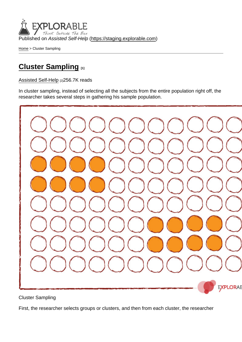Published on Assisted Self-Help [\(https://staging.explorable.com](https://staging.explorable.com))

[Home](https://staging.explorable.com/en) > Cluster Sampling

### [Cluster Sampling](https://staging.explorable.com/en/cluster-sampling) [1]

[Assisted Self-Help](https://staging.explorable.com/en) [2]256.7K reads

In cluster sampling, instead of selecting all the subjects from the entire population right off, the researcher takes several steps in gathering his sample population.

Cluster Sampling

First, the researcher selects groups or clusters, and then from each cluster, the researcher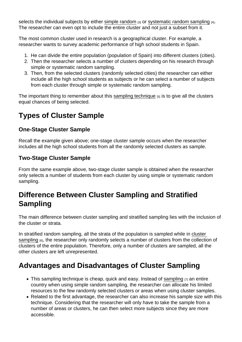selects the individual subjects by either [simple random](https://staging.explorable.com/simple-random-sampling)  $_{[3]}$  or [systematic random sampling](https://staging.explorable.com/systematic-sampling)  $_{[4]}$ . The researcher can even opt to include the entire cluster and not just a subset from it.

The most common cluster used in research is a geographical cluster. For example, a researcher wants to survey academic performance of high school students in Spain.

- 1. He can divide the entire population (population of Spain) into different clusters (cities).
- 2. Then the researcher selects a number of clusters depending on his research through simple or systematic random sampling.
- 3. Then, from the selected clusters (randomly selected cities) the researcher can either include all the high school students as subjects or he can select a number of subjects from each cluster through simple or systematic random sampling.

The important thing to remember about this [sampling technique](https://staging.explorable.com/statistical-sampling-techniques)  $[5]$  is to give all the clusters equal chances of being selected.

# Types of Cluster Sample

### One-Stage Cluster Sample

Recall the example given above; one-stage cluster sample occurs when the researcher includes all the high school students from all the randomly selected clusters as sample.

#### Two-Stage Cluster Sample

From the same example above, two-stage cluster sample is obtained when the researcher only selects a number of students from each cluster by using simple or systematic random sampling.

## Difference Between Cluster Sampling and Stratified Sampling

The main difference between cluster sampling and stratified sampling lies with the inclusion of the cluster or strata.

In stratified random sampling, all the strata of the population is sampled while in [cluster](http://stattrek.com/survey-research/cluster-sampling.aspx)  [sampling](http://stattrek.com/survey-research/cluster-sampling.aspx) [6], the researcher only randomly selects a number of clusters from the collection of clusters of the entire population. Therefore, only a number of clusters are sampled, all the other clusters are left unrepresented.

## Advantages and Disadvantages of Cluster Sampling

- This [sampling](https://staging.explorable.com/population-sampling) technique is cheap, quick and easy. Instead of sampling  $\overline{p}$  an entire country when using simple random sampling, the researcher can allocate his limited resources to the few randomly selected clusters or areas when using cluster samples.
- Related to the first advantage, the researcher can also increase his sample size with this technique. Considering that the researcher will only have to take the sample from a number of areas or clusters, he can then select more subjects since they are more accessible.